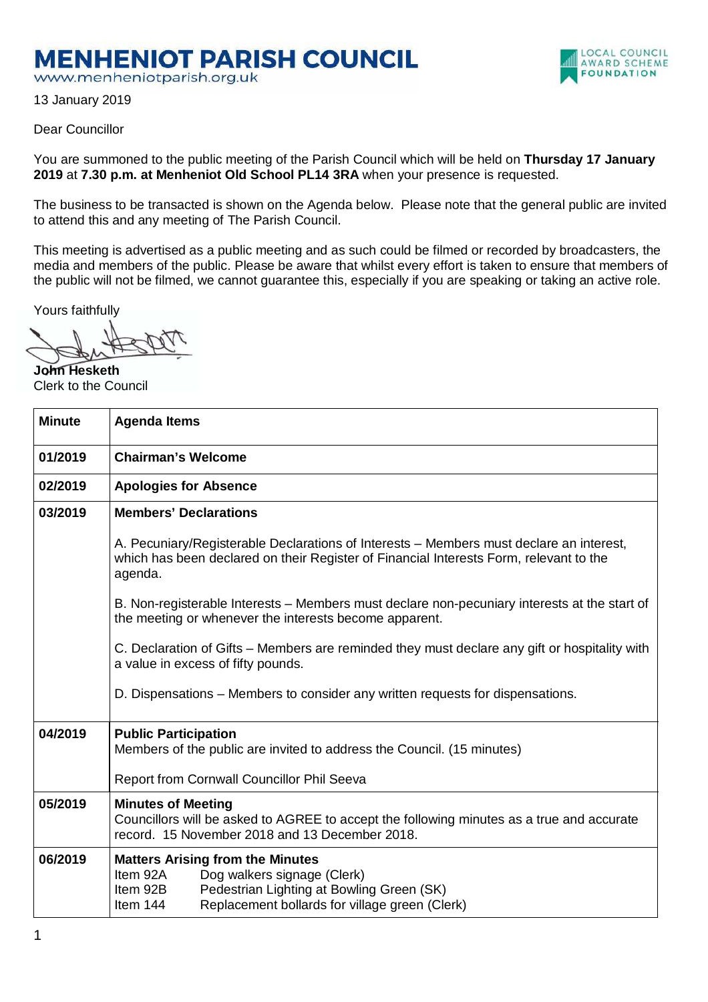## **MENHENIOT PARISH COUNCIL**

www.menheniotparish.org.uk

13 January 2019

## Dear Councillor

You are summoned to the public meeting of the Parish Council which will be held on **Thursday 17 January 2019** at **7.30 p.m. at Menheniot Old School PL14 3RA** when your presence is requested.

The business to be transacted is shown on the Agenda below. Please note that the general public are invited to attend this and any meeting of The Parish Council.

This meeting is advertised as a public meeting and as such could be filmed or recorded by broadcasters, the media and members of the public. Please be aware that whilst every effort is taken to ensure that members of the public will not be filmed, we cannot guarantee this, especially if you are speaking or taking an active role.

Yours faithfully

**John Hesketh**  Clerk to the Council

| <b>Minute</b> | <b>Agenda Items</b>                                                                                                                                                                                       |  |  |  |  |  |
|---------------|-----------------------------------------------------------------------------------------------------------------------------------------------------------------------------------------------------------|--|--|--|--|--|
| 01/2019       | <b>Chairman's Welcome</b>                                                                                                                                                                                 |  |  |  |  |  |
| 02/2019       | <b>Apologies for Absence</b>                                                                                                                                                                              |  |  |  |  |  |
| 03/2019       | <b>Members' Declarations</b>                                                                                                                                                                              |  |  |  |  |  |
|               | A. Pecuniary/Registerable Declarations of Interests – Members must declare an interest,<br>which has been declared on their Register of Financial Interests Form, relevant to the<br>agenda.              |  |  |  |  |  |
|               | B. Non-registerable Interests – Members must declare non-pecuniary interests at the start of<br>the meeting or whenever the interests become apparent.                                                    |  |  |  |  |  |
|               | C. Declaration of Gifts – Members are reminded they must declare any gift or hospitality with<br>a value in excess of fifty pounds.                                                                       |  |  |  |  |  |
|               | D. Dispensations – Members to consider any written requests for dispensations.                                                                                                                            |  |  |  |  |  |
| 04/2019       | <b>Public Participation</b><br>Members of the public are invited to address the Council. (15 minutes)                                                                                                     |  |  |  |  |  |
|               | Report from Cornwall Councillor Phil Seeva                                                                                                                                                                |  |  |  |  |  |
| 05/2019       | <b>Minutes of Meeting</b><br>Councillors will be asked to AGREE to accept the following minutes as a true and accurate<br>record. 15 November 2018 and 13 December 2018.                                  |  |  |  |  |  |
| 06/2019       | <b>Matters Arising from the Minutes</b><br>Item 92A<br>Dog walkers signage (Clerk)<br>Pedestrian Lighting at Bowling Green (SK)<br>Item 92B<br>Replacement bollards for village green (Clerk)<br>Item 144 |  |  |  |  |  |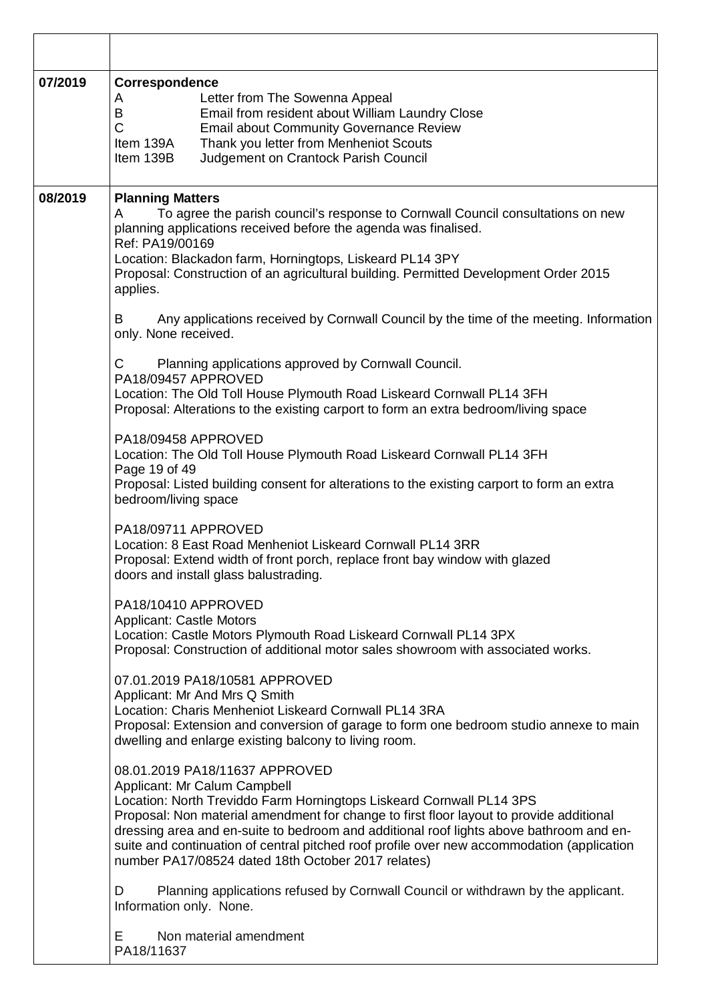| 07/2019 | Correspondence<br>Letter from The Sowenna Appeal<br>A<br>Email from resident about William Laundry Close<br>B<br>$\mathsf{C}$<br><b>Email about Community Governance Review</b><br>Thank you letter from Menheniot Scouts<br>Item 139A<br>Judgement on Crantock Parish Council<br>Item 139B                                                                                                                                                                                                 |  |  |  |  |  |
|---------|---------------------------------------------------------------------------------------------------------------------------------------------------------------------------------------------------------------------------------------------------------------------------------------------------------------------------------------------------------------------------------------------------------------------------------------------------------------------------------------------|--|--|--|--|--|
| 08/2019 | <b>Planning Matters</b><br>To agree the parish council's response to Cornwall Council consultations on new<br>A<br>planning applications received before the agenda was finalised.<br>Ref: PA19/00169<br>Location: Blackadon farm, Horningtops, Liskeard PL14 3PY<br>Proposal: Construction of an agricultural building. Permitted Development Order 2015<br>applies.<br>Any applications received by Cornwall Council by the time of the meeting. Information<br>B<br>only. None received. |  |  |  |  |  |
|         | Planning applications approved by Cornwall Council.<br>С<br>PA18/09457 APPROVED<br>Location: The Old Toll House Plymouth Road Liskeard Cornwall PL14 3FH<br>Proposal: Alterations to the existing carport to form an extra bedroom/living space                                                                                                                                                                                                                                             |  |  |  |  |  |
|         | PA18/09458 APPROVED<br>Location: The Old Toll House Plymouth Road Liskeard Cornwall PL14 3FH<br>Page 19 of 49<br>Proposal: Listed building consent for alterations to the existing carport to form an extra<br>bedroom/living space                                                                                                                                                                                                                                                         |  |  |  |  |  |
|         | PA18/09711 APPROVED<br>Location: 8 East Road Menheniot Liskeard Cornwall PL14 3RR<br>Proposal: Extend width of front porch, replace front bay window with glazed<br>doors and install glass balustrading.                                                                                                                                                                                                                                                                                   |  |  |  |  |  |
|         | PA18/10410 APPROVED<br><b>Applicant: Castle Motors</b><br>Location: Castle Motors Plymouth Road Liskeard Cornwall PL14 3PX<br>Proposal: Construction of additional motor sales showroom with associated works.                                                                                                                                                                                                                                                                              |  |  |  |  |  |
|         | 07.01.2019 PA18/10581 APPROVED<br>Applicant: Mr And Mrs Q Smith<br>Location: Charis Menheniot Liskeard Cornwall PL14 3RA<br>Proposal: Extension and conversion of garage to form one bedroom studio annexe to main<br>dwelling and enlarge existing balcony to living room.                                                                                                                                                                                                                 |  |  |  |  |  |
|         | 08.01.2019 PA18/11637 APPROVED<br>Applicant: Mr Calum Campbell<br>Location: North Treviddo Farm Horningtops Liskeard Cornwall PL14 3PS<br>Proposal: Non material amendment for change to first floor layout to provide additional<br>dressing area and en-suite to bedroom and additional roof lights above bathroom and en-<br>suite and continuation of central pitched roof profile over new accommodation (application<br>number PA17/08524 dated 18th October 2017 relates)            |  |  |  |  |  |
|         | Planning applications refused by Cornwall Council or withdrawn by the applicant.<br>D<br>Information only. None.                                                                                                                                                                                                                                                                                                                                                                            |  |  |  |  |  |
|         | Non material amendment<br>E.<br>PA18/11637                                                                                                                                                                                                                                                                                                                                                                                                                                                  |  |  |  |  |  |

┑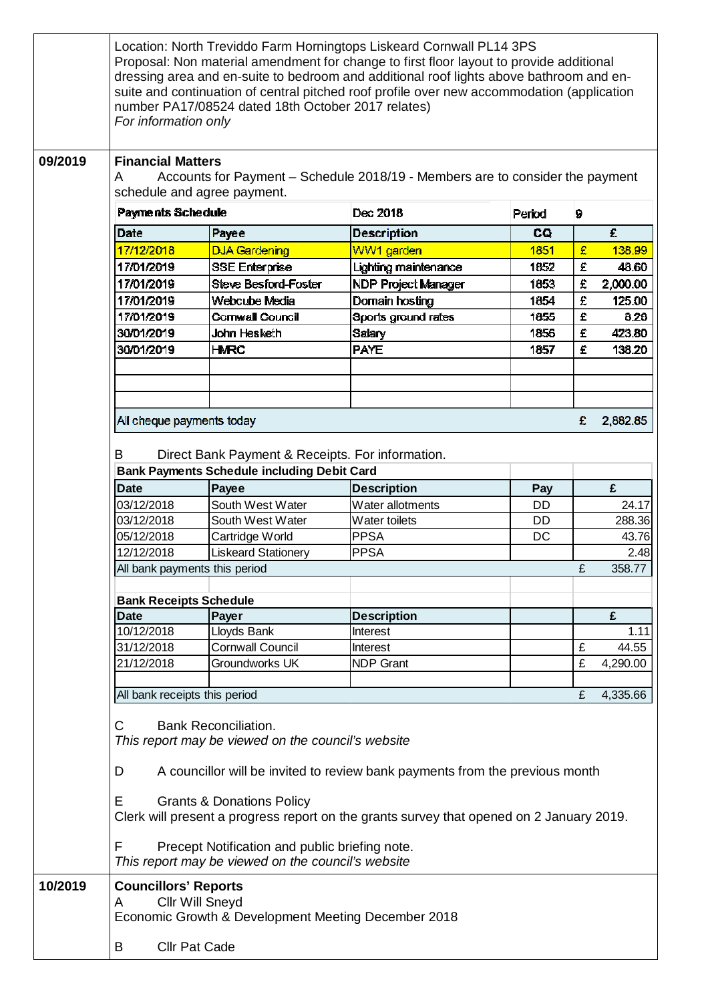|         | For information only                                                                                                                                                                                                                                                                                                 | number PA17/08524 dated 18th October 2017 relates)                            | Location: North Treviddo Farm Horningtops Liskeard Cornwall PL14 3PS<br>Proposal: Non material amendment for change to first floor layout to provide additional<br>dressing area and en-suite to bedroom and additional roof lights above bathroom and en-<br>suite and continuation of central pitched roof profile over new accommodation (application |        |   |          |  |  |  |
|---------|----------------------------------------------------------------------------------------------------------------------------------------------------------------------------------------------------------------------------------------------------------------------------------------------------------------------|-------------------------------------------------------------------------------|----------------------------------------------------------------------------------------------------------------------------------------------------------------------------------------------------------------------------------------------------------------------------------------------------------------------------------------------------------|--------|---|----------|--|--|--|
| 09/2019 | <b>Financial Matters</b><br>Accounts for Payment - Schedule 2018/19 - Members are to consider the payment<br>A<br>schedule and agree payment.                                                                                                                                                                        |                                                                               |                                                                                                                                                                                                                                                                                                                                                          |        |   |          |  |  |  |
|         | <b>Payments Schedule</b>                                                                                                                                                                                                                                                                                             |                                                                               | Dec 2018                                                                                                                                                                                                                                                                                                                                                 | Period | 9 |          |  |  |  |
|         | Date                                                                                                                                                                                                                                                                                                                 | Payee                                                                         | <b>Description</b>                                                                                                                                                                                                                                                                                                                                       | CQ     |   | £        |  |  |  |
|         | 17/12/2018                                                                                                                                                                                                                                                                                                           | <b>DJA Gardening</b>                                                          | WW1 garden                                                                                                                                                                                                                                                                                                                                               | 1851   | £ | 138.99   |  |  |  |
|         | 17/01/2019                                                                                                                                                                                                                                                                                                           | <b>SSE Enterprise</b>                                                         | Lighting maintenance                                                                                                                                                                                                                                                                                                                                     | 1852   | £ | 48.60    |  |  |  |
|         | 17/01/2019                                                                                                                                                                                                                                                                                                           | Steve Besford-Foster                                                          | <b>NDP Project Manager</b>                                                                                                                                                                                                                                                                                                                               | 1853   | £ | 2,000.00 |  |  |  |
|         | 17/01/2019                                                                                                                                                                                                                                                                                                           | Webcube Media                                                                 | Domain hosting                                                                                                                                                                                                                                                                                                                                           | 1854   | £ | 125.00   |  |  |  |
|         | 17/01/2019                                                                                                                                                                                                                                                                                                           | <b>Cornwall Council</b>                                                       | Sports ground rates                                                                                                                                                                                                                                                                                                                                      | 1855   | £ | 8.26     |  |  |  |
|         | 30/01/2019                                                                                                                                                                                                                                                                                                           | John Hesketh                                                                  | Salary                                                                                                                                                                                                                                                                                                                                                   | 1856   | £ | 423.80   |  |  |  |
|         | 30/01/2019                                                                                                                                                                                                                                                                                                           | <b>HMRC</b>                                                                   | <b>PAYE</b>                                                                                                                                                                                                                                                                                                                                              | 1857   | £ | 138.20   |  |  |  |
|         |                                                                                                                                                                                                                                                                                                                      |                                                                               |                                                                                                                                                                                                                                                                                                                                                          |        |   |          |  |  |  |
|         | All cheque payments today                                                                                                                                                                                                                                                                                            |                                                                               |                                                                                                                                                                                                                                                                                                                                                          |        | £ | 2,882.85 |  |  |  |
|         |                                                                                                                                                                                                                                                                                                                      |                                                                               |                                                                                                                                                                                                                                                                                                                                                          |        |   |          |  |  |  |
|         | Direct Bank Payment & Receipts. For information.<br>B<br><b>Bank Payments Schedule including Debit Card</b>                                                                                                                                                                                                          |                                                                               |                                                                                                                                                                                                                                                                                                                                                          |        |   |          |  |  |  |
|         | <b>Date</b>                                                                                                                                                                                                                                                                                                          | Payee                                                                         | <b>Description</b>                                                                                                                                                                                                                                                                                                                                       | Pay    |   | £        |  |  |  |
|         | 03/12/2018                                                                                                                                                                                                                                                                                                           | South West Water                                                              | Water allotments                                                                                                                                                                                                                                                                                                                                         | DD     |   | 24.17    |  |  |  |
|         | 03/12/2018                                                                                                                                                                                                                                                                                                           | South West Water                                                              | Water toilets                                                                                                                                                                                                                                                                                                                                            | DD.    |   | 288.36   |  |  |  |
|         | 05/12/2018                                                                                                                                                                                                                                                                                                           | Cartridge World                                                               | <b>PPSA</b>                                                                                                                                                                                                                                                                                                                                              | DC     |   | 43.76    |  |  |  |
|         | 12/12/2018                                                                                                                                                                                                                                                                                                           | <b>Liskeard Stationery</b>                                                    | <b>PPSA</b>                                                                                                                                                                                                                                                                                                                                              |        |   | 2.48     |  |  |  |
|         | All bank payments this period                                                                                                                                                                                                                                                                                        |                                                                               |                                                                                                                                                                                                                                                                                                                                                          |        | £ | 358.77   |  |  |  |
|         | <b>Bank Receipts Schedule</b>                                                                                                                                                                                                                                                                                        |                                                                               |                                                                                                                                                                                                                                                                                                                                                          |        |   |          |  |  |  |
|         | <b>Date</b>                                                                                                                                                                                                                                                                                                          | Payer                                                                         | <b>Description</b>                                                                                                                                                                                                                                                                                                                                       |        |   | £        |  |  |  |
|         | 10/12/2018                                                                                                                                                                                                                                                                                                           | Lloyds Bank                                                                   | Interest                                                                                                                                                                                                                                                                                                                                                 |        |   | 1.11     |  |  |  |
|         | 31/12/2018                                                                                                                                                                                                                                                                                                           | <b>Cornwall Council</b>                                                       | Interest                                                                                                                                                                                                                                                                                                                                                 |        | £ | 44.55    |  |  |  |
|         | 21/12/2018                                                                                                                                                                                                                                                                                                           | Groundworks UK                                                                | <b>NDP Grant</b>                                                                                                                                                                                                                                                                                                                                         |        | £ | 4,290.00 |  |  |  |
|         |                                                                                                                                                                                                                                                                                                                      |                                                                               |                                                                                                                                                                                                                                                                                                                                                          |        |   |          |  |  |  |
|         | All bank receipts this period<br>£<br>4,335.66                                                                                                                                                                                                                                                                       |                                                                               |                                                                                                                                                                                                                                                                                                                                                          |        |   |          |  |  |  |
|         | <b>Bank Reconciliation.</b><br>C<br>This report may be viewed on the council's website<br>A councillor will be invited to review bank payments from the previous month<br>D<br>Е<br><b>Grants &amp; Donations Policy</b><br>Clerk will present a progress report on the grants survey that opened on 2 January 2019. |                                                                               |                                                                                                                                                                                                                                                                                                                                                          |        |   |          |  |  |  |
|         | Precept Notification and public briefing note.<br>F<br>This report may be viewed on the council's website                                                                                                                                                                                                            |                                                                               |                                                                                                                                                                                                                                                                                                                                                          |        |   |          |  |  |  |
| 10/2019 | <b>Councillors' Reports</b><br>A                                                                                                                                                                                                                                                                                     | <b>Cllr Will Sneyd</b><br>Economic Growth & Development Meeting December 2018 |                                                                                                                                                                                                                                                                                                                                                          |        |   |          |  |  |  |
|         | <b>Cllr Pat Cade</b><br>B                                                                                                                                                                                                                                                                                            |                                                                               |                                                                                                                                                                                                                                                                                                                                                          |        |   |          |  |  |  |